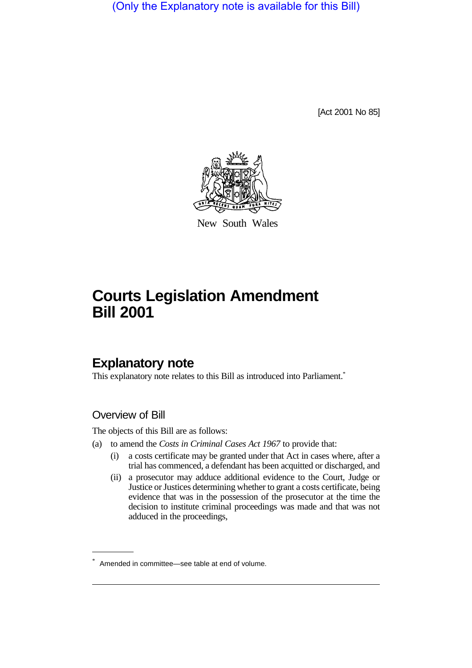(Only the Explanatory note is available for this Bill)

[Act 2001 No 85]



New South Wales

# **Courts Legislation Amendment Bill 2001**

## **Explanatory note**

This explanatory note relates to this Bill as introduced into Parliament.<sup>\*</sup>

#### Overview of Bill

The objects of this Bill are as follows:

- (a) to amend the *Costs in Criminal Cases Act 1967* to provide that:
	- (i) a costs certificate may be granted under that Act in cases where, after a trial has commenced, a defendant has been acquitted or discharged, and
	- (ii) a prosecutor may adduce additional evidence to the Court, Judge or Justice or Justices determining whether to grant a costs certificate, being evidence that was in the possession of the prosecutor at the time the decision to institute criminal proceedings was made and that was not adduced in the proceedings,

<sup>\*</sup> Amended in committee—see table at end of volume.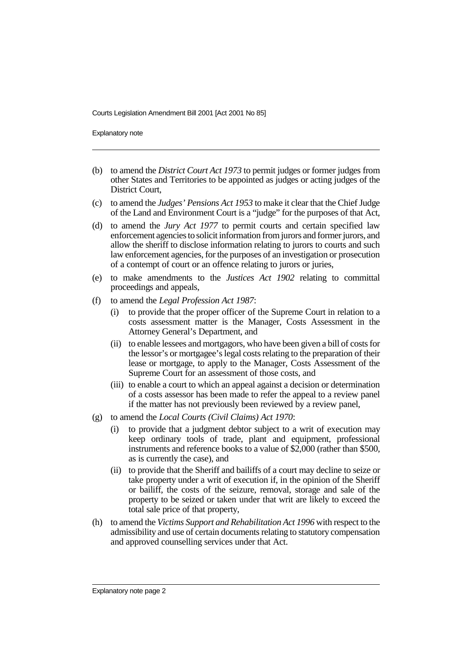Explanatory note

- (b) to amend the *District Court Act 1973* to permit judges or former judges from other States and Territories to be appointed as judges or acting judges of the District Court,
- (c) to amend the *Judges' Pensions Act 1953* to make it clear that the Chief Judge of the Land and Environment Court is a "judge" for the purposes of that Act,
- (d) to amend the *Jury Act 1977* to permit courts and certain specified law enforcement agencies to solicit information from jurors and former jurors, and allow the sheriff to disclose information relating to jurors to courts and such law enforcement agencies, for the purposes of an investigation or prosecution of a contempt of court or an offence relating to jurors or juries,
- (e) to make amendments to the *Justices Act 1902* relating to committal proceedings and appeals,
- (f) to amend the *Legal Profession Act 1987*:
	- (i) to provide that the proper officer of the Supreme Court in relation to a costs assessment matter is the Manager, Costs Assessment in the Attorney General's Department, and
	- (ii) to enable lessees and mortgagors, who have been given a bill of costs for the lessor's or mortgagee's legal costs relating to the preparation of their lease or mortgage, to apply to the Manager, Costs Assessment of the Supreme Court for an assessment of those costs, and
	- (iii) to enable a court to which an appeal against a decision or determination of a costs assessor has been made to refer the appeal to a review panel if the matter has not previously been reviewed by a review panel,
- (g) to amend the *Local Courts (Civil Claims) Act 1970*:
	- to provide that a judgment debtor subject to a writ of execution may keep ordinary tools of trade, plant and equipment, professional instruments and reference books to a value of \$2,000 (rather than \$500, as is currently the case), and
	- (ii) to provide that the Sheriff and bailiffs of a court may decline to seize or take property under a writ of execution if, in the opinion of the Sheriff or bailiff, the costs of the seizure, removal, storage and sale of the property to be seized or taken under that writ are likely to exceed the total sale price of that property,
- (h) to amend the *Victims Support and Rehabilitation Act 1996* with respect to the admissibility and use of certain documents relating to statutory compensation and approved counselling services under that Act.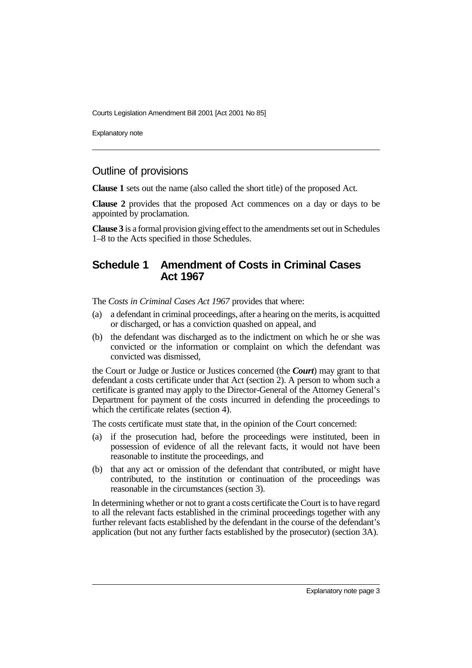Explanatory note

#### Outline of provisions

**Clause 1** sets out the name (also called the short title) of the proposed Act.

**Clause 2** provides that the proposed Act commences on a day or days to be appointed by proclamation.

**Clause 3** is a formal provision giving effect to the amendments set out in Schedules 1–8 to the Acts specified in those Schedules.

#### **Schedule 1 Amendment of Costs in Criminal Cases Act 1967**

The *Costs in Criminal Cases Act 1967* provides that where:

- (a) a defendant in criminal proceedings, after a hearing on the merits, is acquitted or discharged, or has a conviction quashed on appeal, and
- (b) the defendant was discharged as to the indictment on which he or she was convicted or the information or complaint on which the defendant was convicted was dismissed,

the Court or Judge or Justice or Justices concerned (the *Court*) may grant to that defendant a costs certificate under that Act (section 2). A person to whom such a certificate is granted may apply to the Director-General of the Attorney General's Department for payment of the costs incurred in defending the proceedings to which the certificate relates (section 4).

The costs certificate must state that, in the opinion of the Court concerned:

- (a) if the prosecution had, before the proceedings were instituted, been in possession of evidence of all the relevant facts, it would not have been reasonable to institute the proceedings, and
- (b) that any act or omission of the defendant that contributed, or might have contributed, to the institution or continuation of the proceedings was reasonable in the circumstances (section 3).

In determining whether or not to grant a costs certificate the Court is to have regard to all the relevant facts established in the criminal proceedings together with any further relevant facts established by the defendant in the course of the defendant's application (but not any further facts established by the prosecutor) (section 3A).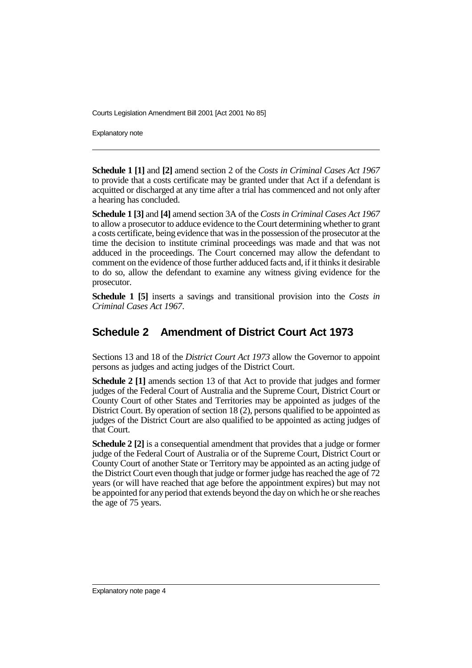Explanatory note

**Schedule 1 [1]** and **[2]** amend section 2 of the *Costs in Criminal Cases Act 1967* to provide that a costs certificate may be granted under that Act if a defendant is acquitted or discharged at any time after a trial has commenced and not only after a hearing has concluded.

**Schedule 1 [3]** and **[4]** amend section 3A of the *Costs in Criminal Cases Act 1967* to allow a prosecutor to adduce evidence to the Court determining whether to grant a costs certificate, being evidence that was in the possession of the prosecutor at the time the decision to institute criminal proceedings was made and that was not adduced in the proceedings. The Court concerned may allow the defendant to comment on the evidence of those further adduced facts and, if it thinks it desirable to do so, allow the defendant to examine any witness giving evidence for the prosecutor.

**Schedule 1 [5]** inserts a savings and transitional provision into the *Costs in Criminal Cases Act 1967*.

## **Schedule 2 Amendment of District Court Act 1973**

Sections 13 and 18 of the *District Court Act 1973* allow the Governor to appoint persons as judges and acting judges of the District Court.

**Schedule 2 [1]** amends section 13 of that Act to provide that judges and former judges of the Federal Court of Australia and the Supreme Court, District Court or County Court of other States and Territories may be appointed as judges of the District Court. By operation of section 18 (2), persons qualified to be appointed as judges of the District Court are also qualified to be appointed as acting judges of that Court.

**Schedule 2 [2]** is a consequential amendment that provides that a judge or former judge of the Federal Court of Australia or of the Supreme Court, District Court or County Court of another State or Territory may be appointed as an acting judge of the District Court even though that judge or former judge has reached the age of 72 years (or will have reached that age before the appointment expires) but may not be appointed for any period that extends beyond the day on which he or she reaches the age of 75 years.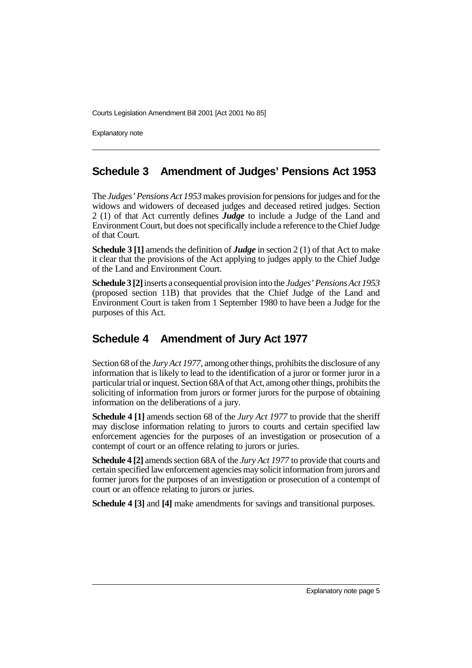Explanatory note

#### **Schedule 3 Amendment of Judges' Pensions Act 1953**

The *Judges' Pensions Act 1953* makes provision for pensions for judges and for the widows and widowers of deceased judges and deceased retired judges. Section 2 (1) of that Act currently defines *Judge* to include a Judge of the Land and Environment Court, but does not specifically include a reference to the Chief Judge of that Court.

**Schedule 3 [1]** amends the definition of *Judge* in section 2 (1) of that Act to make it clear that the provisions of the Act applying to judges apply to the Chief Judge of the Land and Environment Court.

**Schedule 3 [2]** inserts a consequential provision into the *Judges' Pensions Act 1953* (proposed section 11B) that provides that the Chief Judge of the Land and Environment Court is taken from 1 September 1980 to have been a Judge for the purposes of this Act.

## **Schedule 4 Amendment of Jury Act 1977**

Section 68 of the *Jury Act 1977*, among other things, prohibits the disclosure of any information that is likely to lead to the identification of a juror or former juror in a particular trial or inquest. Section 68A of that Act, among other things, prohibits the soliciting of information from jurors or former jurors for the purpose of obtaining information on the deliberations of a jury.

**Schedule 4 [1]** amends section 68 of the *Jury Act 1977* to provide that the sheriff may disclose information relating to jurors to courts and certain specified law enforcement agencies for the purposes of an investigation or prosecution of a contempt of court or an offence relating to jurors or juries.

**Schedule 4 [2]** amends section 68A of the *Jury Act 1977* to provide that courts and certain specified law enforcement agencies may solicit information from jurors and former jurors for the purposes of an investigation or prosecution of a contempt of court or an offence relating to jurors or juries.

**Schedule 4 [3]** and **[4]** make amendments for savings and transitional purposes.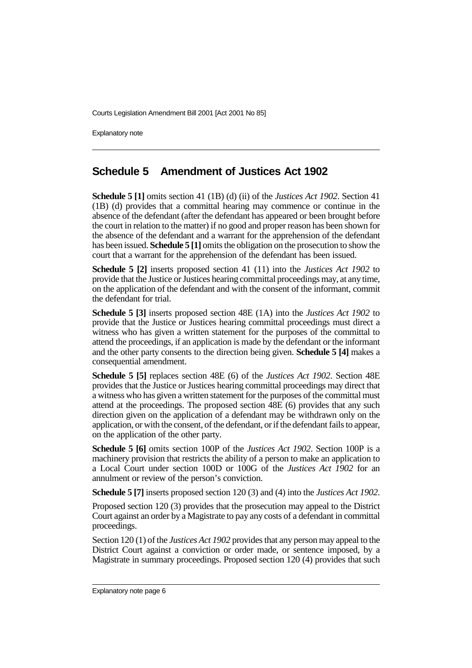Explanatory note

#### **Schedule 5 Amendment of Justices Act 1902**

**Schedule 5 [1]** omits section 41 (1B) (d) (ii) of the *Justices Act 1902*. Section 41 (1B) (d) provides that a committal hearing may commence or continue in the absence of the defendant (after the defendant has appeared or been brought before the court in relation to the matter) if no good and proper reason has been shown for the absence of the defendant and a warrant for the apprehension of the defendant has been issued. **Schedule 5 [1]** omits the obligation on the prosecution to show the court that a warrant for the apprehension of the defendant has been issued.

**Schedule 5 [2]** inserts proposed section 41 (11) into the *Justices Act 1902* to provide that the Justice or Justices hearing committal proceedings may, at any time, on the application of the defendant and with the consent of the informant, commit the defendant for trial.

**Schedule 5 [3]** inserts proposed section 48E (1A) into the *Justices Act 1902* to provide that the Justice or Justices hearing committal proceedings must direct a witness who has given a written statement for the purposes of the committal to attend the proceedings, if an application is made by the defendant or the informant and the other party consents to the direction being given. **Schedule 5 [4]** makes a consequential amendment.

**Schedule 5 [5]** replaces section 48E (6) of the *Justices Act 1902*. Section 48E provides that the Justice or Justices hearing committal proceedings may direct that a witness who has given a written statement for the purposes of the committal must attend at the proceedings. The proposed section  $\widehat{A}8E(6)$  provides that any such direction given on the application of a defendant may be withdrawn only on the application, or with the consent, of the defendant, or if the defendant fails to appear, on the application of the other party.

**Schedule 5 [6]** omits section 100P of the *Justices Act 1902*. Section 100P is a machinery provision that restricts the ability of a person to make an application to a Local Court under section 100D or 100G of the *Justices Act 1902* for an annulment or review of the person's conviction.

**Schedule 5 [7]** inserts proposed section 120 (3) and (4) into the *Justices Act 1902*.

Proposed section 120 (3) provides that the prosecution may appeal to the District Court against an order by a Magistrate to pay any costs of a defendant in committal proceedings.

Section 120 (1) of the *Justices Act 1902* provides that any person may appeal to the District Court against a conviction or order made, or sentence imposed, by a Magistrate in summary proceedings. Proposed section 120 (4) provides that such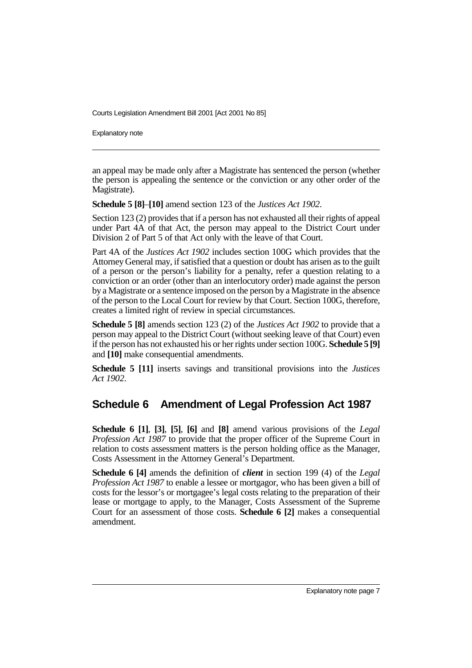Explanatory note

an appeal may be made only after a Magistrate has sentenced the person (whether the person is appealing the sentence or the conviction or any other order of the Magistrate).

**Schedule 5 [8]**–**[10]** amend section 123 of the *Justices Act 1902*.

Section 123 (2) provides that if a person has not exhausted all their rights of appeal under Part 4A of that Act, the person may appeal to the District Court under Division 2 of Part 5 of that Act only with the leave of that Court.

Part 4A of the *Justices Act 1902* includes section 100G which provides that the Attorney General may, if satisfied that a question or doubt has arisen as to the guilt of a person or the person's liability for a penalty, refer a question relating to a conviction or an order (other than an interlocutory order) made against the person by a Magistrate or a sentence imposed on the person by a Magistrate in the absence of the person to the Local Court for review by that Court. Section 100G, therefore, creates a limited right of review in special circumstances.

**Schedule 5 [8]** amends section 123 (2) of the *Justices Act 1902* to provide that a person may appeal to the District Court (without seeking leave of that Court) even if the person has not exhausted his or her rights under section 100G. **Schedule 5 [9]** and **[10]** make consequential amendments.

**Schedule 5 [11]** inserts savings and transitional provisions into the *Justices Act 1902*.

## **Schedule 6 Amendment of Legal Profession Act 1987**

**Schedule 6 [1]**, **[3]**, **[5]**, **[6]** and **[8]** amend various provisions of the *Legal Profession Act 1987* to provide that the proper officer of the Supreme Court in relation to costs assessment matters is the person holding office as the Manager, Costs Assessment in the Attorney General's Department.

**Schedule 6 [4]** amends the definition of *client* in section 199 (4) of the *Legal Profession Act 1987* to enable a lessee or mortgagor, who has been given a bill of costs for the lessor's or mortgagee's legal costs relating to the preparation of their lease or mortgage to apply, to the Manager, Costs Assessment of the Supreme Court for an assessment of those costs. **Schedule 6 [2]** makes a consequential amendment.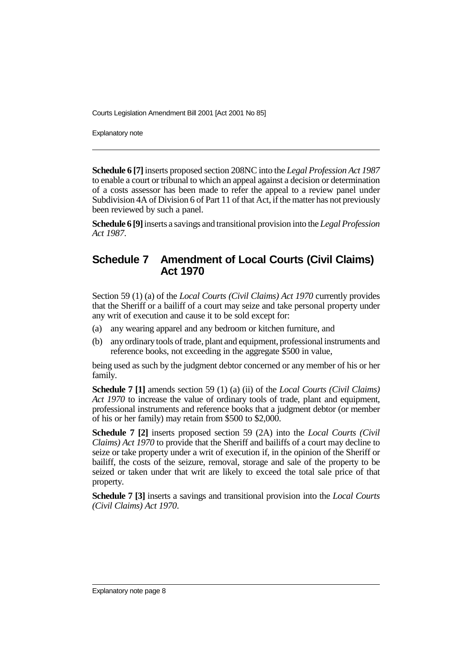Explanatory note

**Schedule 6 [7]** inserts proposed section 208NC into the *Legal Profession Act 1987* to enable a court or tribunal to which an appeal against a decision or determination of a costs assessor has been made to refer the appeal to a review panel under Subdivision 4A of Division 6 of Part 11 of that Act, if the matter has not previously been reviewed by such a panel.

**Schedule 6 [9]** inserts a savings and transitional provision into the *Legal Profession Act 1987*.

### **Schedule 7 Amendment of Local Courts (Civil Claims) Act 1970**

Section 59 (1) (a) of the *Local Courts (Civil Claims) Act 1970* currently provides that the Sheriff or a bailiff of a court may seize and take personal property under any writ of execution and cause it to be sold except for:

- (a) any wearing apparel and any bedroom or kitchen furniture, and
- (b) any ordinary tools of trade, plant and equipment, professional instruments and reference books, not exceeding in the aggregate \$500 in value,

being used as such by the judgment debtor concerned or any member of his or her family.

**Schedule 7 [1]** amends section 59 (1) (a) (ii) of the *Local Courts (Civil Claims) Act 1970* to increase the value of ordinary tools of trade, plant and equipment, professional instruments and reference books that a judgment debtor (or member of his or her family) may retain from \$500 to \$2,000.

**Schedule 7 [2]** inserts proposed section 59 (2A) into the *Local Courts (Civil Claims) Act 1970* to provide that the Sheriff and bailiffs of a court may decline to seize or take property under a writ of execution if, in the opinion of the Sheriff or bailiff, the costs of the seizure, removal, storage and sale of the property to be seized or taken under that writ are likely to exceed the total sale price of that property.

**Schedule 7 [3]** inserts a savings and transitional provision into the *Local Courts (Civil Claims) Act 1970*.